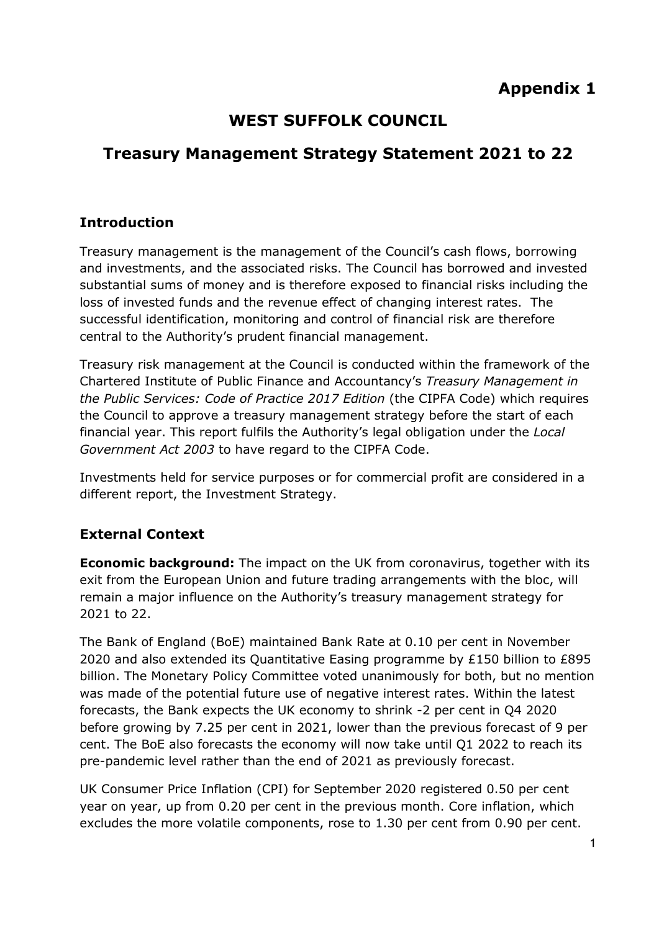# **WEST SUFFOLK COUNCIL**

# **Treasury Management Strategy Statement 2021 to 22**

### **Introduction**

Treasury management is the management of the Council's cash flows, borrowing and investments, and the associated risks. The Council has borrowed and invested substantial sums of money and is therefore exposed to financial risks including the loss of invested funds and the revenue effect of changing interest rates. The successful identification, monitoring and control of financial risk are therefore central to the Authority's prudent financial management.

Treasury risk management at the Council is conducted within the framework of the Chartered Institute of Public Finance and Accountancy's *Treasury Management in the Public Services: Code of Practice 2017 Edition* (the CIPFA Code) which requires the Council to approve a treasury management strategy before the start of each financial year. This report fulfils the Authority's legal obligation under the *Local Government Act 2003* to have regard to the CIPFA Code.

Investments held for service purposes or for commercial profit are considered in a different report, the Investment Strategy.

#### **External Context**

**Economic background:** The impact on the UK from coronavirus, together with its exit from the European Union and future trading arrangements with the bloc, will remain a major influence on the Authority's treasury management strategy for 2021 to 22.

The Bank of England (BoE) maintained Bank Rate at 0.10 per cent in November 2020 and also extended its Quantitative Easing programme by £150 billion to £895 billion. The Monetary Policy Committee voted unanimously for both, but no mention was made of the potential future use of negative interest rates. Within the latest forecasts, the Bank expects the UK economy to shrink -2 per cent in Q4 2020 before growing by 7.25 per cent in 2021, lower than the previous forecast of 9 per cent. The BoE also forecasts the economy will now take until Q1 2022 to reach its pre-pandemic level rather than the end of 2021 as previously forecast.

UK Consumer Price Inflation (CPI) for September 2020 registered 0.50 per cent year on year, up from 0.20 per cent in the previous month. Core inflation, which excludes the more volatile components, rose to 1.30 per cent from 0.90 per cent.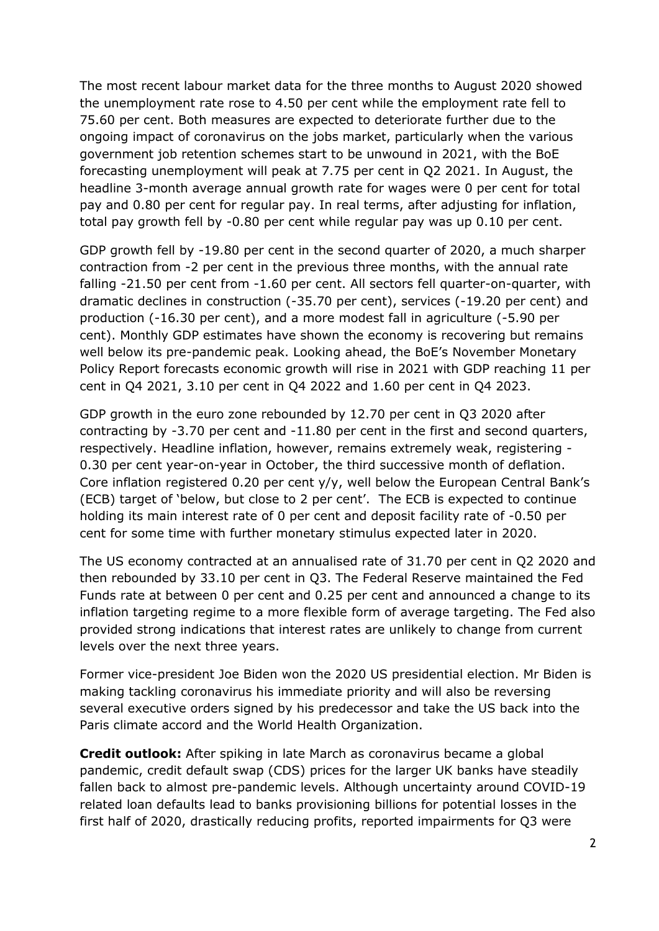The most recent labour market data for the three months to August 2020 showed the unemployment rate rose to 4.50 per cent while the employment rate fell to 75.60 per cent. Both measures are expected to deteriorate further due to the ongoing impact of coronavirus on the jobs market, particularly when the various government job retention schemes start to be unwound in 2021, with the BoE forecasting unemployment will peak at 7.75 per cent in Q2 2021. In August, the headline 3-month average annual growth rate for wages were 0 per cent for total pay and 0.80 per cent for regular pay. In real terms, after adjusting for inflation, total pay growth fell by -0.80 per cent while regular pay was up 0.10 per cent.

GDP growth fell by -19.80 per cent in the second quarter of 2020, a much sharper contraction from -2 per cent in the previous three months, with the annual rate falling -21.50 per cent from -1.60 per cent. All sectors fell quarter-on-quarter, with dramatic declines in construction (-35.70 per cent), services (-19.20 per cent) and production (-16.30 per cent), and a more modest fall in agriculture (-5.90 per cent). Monthly GDP estimates have shown the economy is recovering but remains well below its pre-pandemic peak. Looking ahead, the BoE's November Monetary Policy Report forecasts economic growth will rise in 2021 with GDP reaching 11 per cent in Q4 2021, 3.10 per cent in Q4 2022 and 1.60 per cent in Q4 2023.

GDP growth in the euro zone rebounded by 12.70 per cent in Q3 2020 after contracting by -3.70 per cent and -11.80 per cent in the first and second quarters, respectively. Headline inflation, however, remains extremely weak, registering - 0.30 per cent year-on-year in October, the third successive month of deflation. Core inflation registered 0.20 per cent y/y, well below the European Central Bank's (ECB) target of 'below, but close to 2 per cent'. The ECB is expected to continue holding its main interest rate of 0 per cent and deposit facility rate of -0.50 per cent for some time with further monetary stimulus expected later in 2020.

The US economy contracted at an annualised rate of 31.70 per cent in Q2 2020 and then rebounded by 33.10 per cent in Q3. The Federal Reserve maintained the Fed Funds rate at between 0 per cent and 0.25 per cent and announced a change to its inflation targeting regime to a more flexible form of average targeting. The Fed also provided strong indications that interest rates are unlikely to change from current levels over the next three years.

Former vice-president Joe Biden won the 2020 US presidential election. Mr Biden is making tackling coronavirus his immediate priority and will also be reversing several executive orders signed by his predecessor and take the US back into the Paris climate accord and the World Health Organization.

**Credit outlook:** After spiking in late March as coronavirus became a global pandemic, credit default swap (CDS) prices for the larger UK banks have steadily fallen back to almost pre-pandemic levels. Although uncertainty around COVID-19 related loan defaults lead to banks provisioning billions for potential losses in the first half of 2020, drastically reducing profits, reported impairments for Q3 were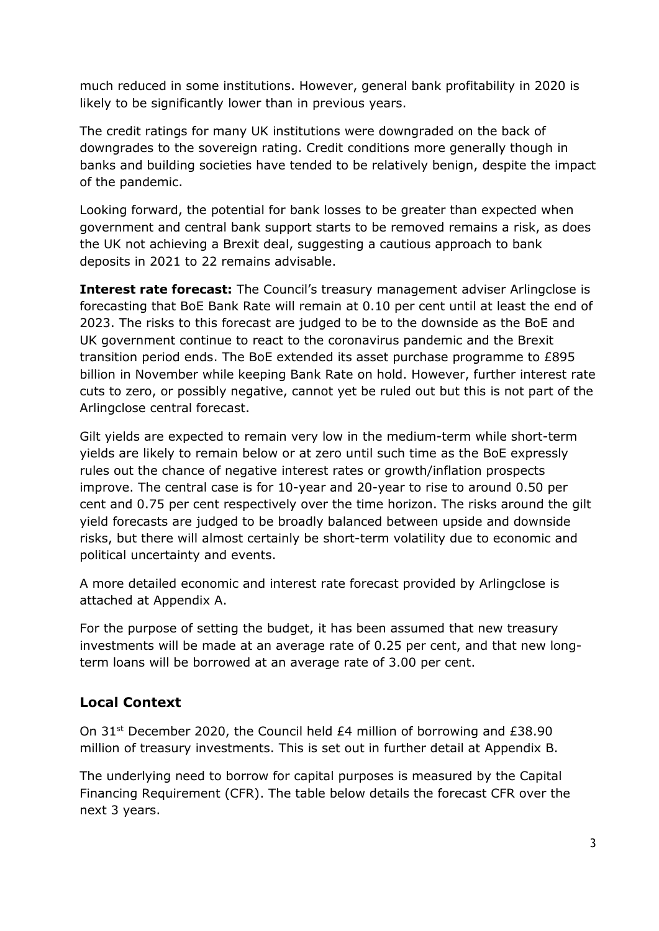much reduced in some institutions. However, general bank profitability in 2020 is likely to be significantly lower than in previous years.

The credit ratings for many UK institutions were downgraded on the back of downgrades to the sovereign rating. Credit conditions more generally though in banks and building societies have tended to be relatively benign, despite the impact of the pandemic.

Looking forward, the potential for bank losses to be greater than expected when government and central bank support starts to be removed remains a risk, as does the UK not achieving a Brexit deal, suggesting a cautious approach to bank deposits in 2021 to 22 remains advisable.

**Interest rate forecast:** The Council's treasury management adviser Arlingclose is forecasting that BoE Bank Rate will remain at 0.10 per cent until at least the end of 2023. The risks to this forecast are judged to be to the downside as the BoE and UK government continue to react to the coronavirus pandemic and the Brexit transition period ends. The BoE extended its asset purchase programme to £895 billion in November while keeping Bank Rate on hold. However, further interest rate cuts to zero, or possibly negative, cannot yet be ruled out but this is not part of the Arlingclose central forecast.

Gilt yields are expected to remain very low in the medium-term while short-term yields are likely to remain below or at zero until such time as the BoE expressly rules out the chance of negative interest rates or growth/inflation prospects improve. The central case is for 10-year and 20-year to rise to around 0.50 per cent and 0.75 per cent respectively over the time horizon. The risks around the gilt yield forecasts are judged to be broadly balanced between upside and downside risks, but there will almost certainly be short-term volatility due to economic and political uncertainty and events.

A more detailed economic and interest rate forecast provided by Arlingclose is attached at Appendix A.

For the purpose of setting the budget, it has been assumed that new treasury investments will be made at an average rate of 0.25 per cent, and that new longterm loans will be borrowed at an average rate of 3.00 per cent.

#### **Local Context**

On 31st December 2020, the Council held £4 million of borrowing and £38.90 million of treasury investments. This is set out in further detail at Appendix B.

The underlying need to borrow for capital purposes is measured by the Capital Financing Requirement (CFR). The table below details the forecast CFR over the next 3 years.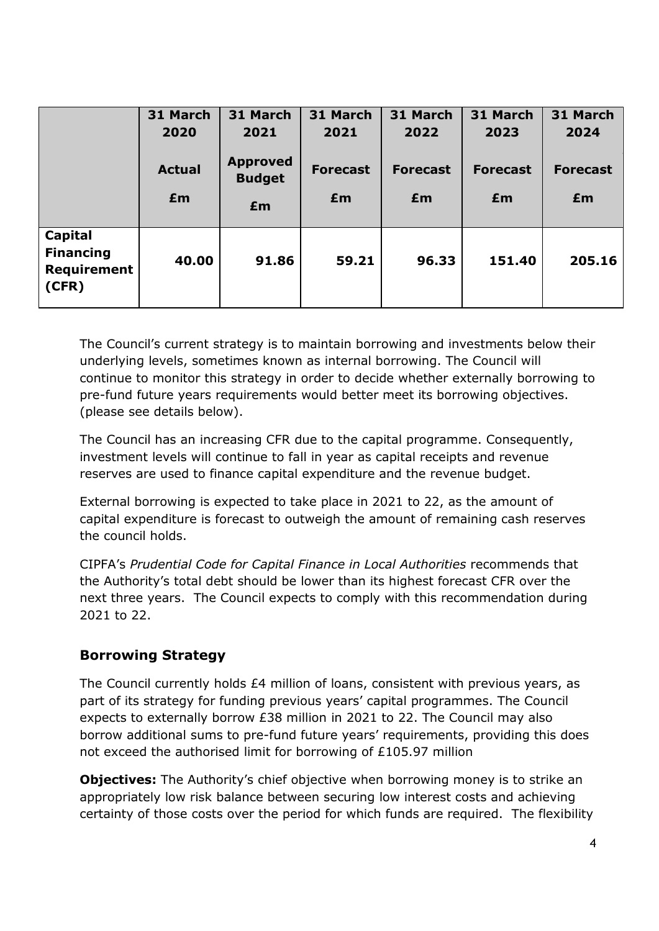|                                                            | 31 March<br>2020    | 31 March<br>2021                       | 31 March<br>2021      | 31 March<br>2022      | 31 March<br>2023      | 31 March<br>2024      |
|------------------------------------------------------------|---------------------|----------------------------------------|-----------------------|-----------------------|-----------------------|-----------------------|
|                                                            | <b>Actual</b><br>£m | <b>Approved</b><br><b>Budget</b><br>£m | <b>Forecast</b><br>£m | <b>Forecast</b><br>£m | <b>Forecast</b><br>£m | <b>Forecast</b><br>£m |
| Capital<br><b>Financing</b><br><b>Requirement</b><br>(CFR) | 40.00               | 91.86                                  | 59.21                 | 96.33                 | 151.40                | 205.16                |

The Council's current strategy is to maintain borrowing and investments below their underlying levels, sometimes known as internal borrowing. The Council will continue to monitor this strategy in order to decide whether externally borrowing to pre-fund future years requirements would better meet its borrowing objectives. (please see details below).

The Council has an increasing CFR due to the capital programme. Consequently, investment levels will continue to fall in year as capital receipts and revenue reserves are used to finance capital expenditure and the revenue budget.

External borrowing is expected to take place in 2021 to 22, as the amount of capital expenditure is forecast to outweigh the amount of remaining cash reserves the council holds.

CIPFA's *Prudential Code for Capital Finance in Local Authorities* recommends that the Authority's total debt should be lower than its highest forecast CFR over the next three years. The Council expects to comply with this recommendation during 2021 to 22.

#### **Borrowing Strategy**

The Council currently holds £4 million of loans, consistent with previous years, as part of its strategy for funding previous years' capital programmes. The Council expects to externally borrow £38 million in 2021 to 22. The Council may also borrow additional sums to pre-fund future years' requirements, providing this does not exceed the authorised limit for borrowing of £105.97 million

**Objectives:** The Authority's chief objective when borrowing money is to strike an appropriately low risk balance between securing low interest costs and achieving certainty of those costs over the period for which funds are required. The flexibility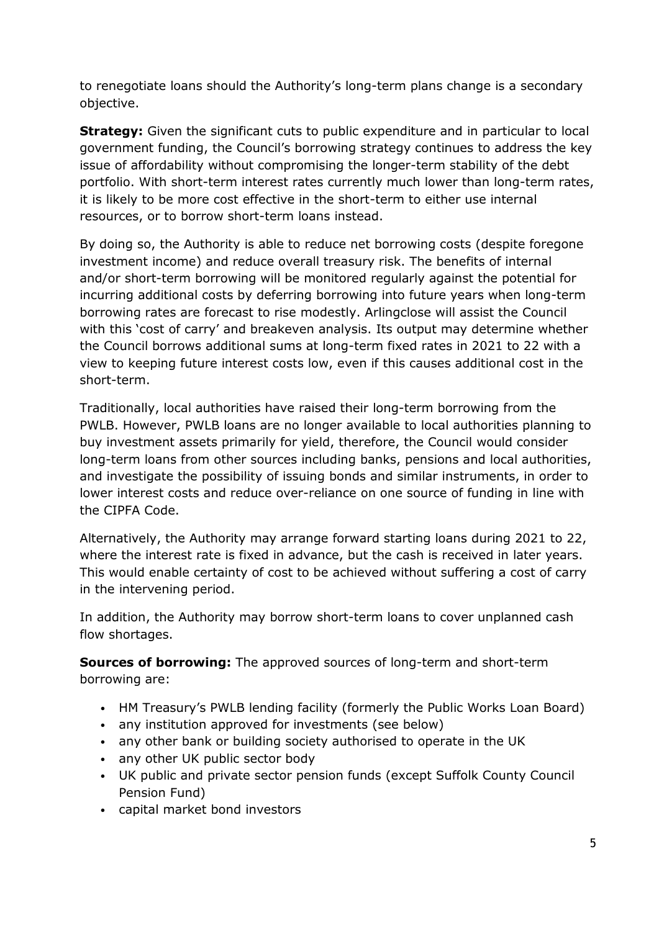to renegotiate loans should the Authority's long-term plans change is a secondary objective.

**Strategy:** Given the significant cuts to public expenditure and in particular to local government funding, the Council's borrowing strategy continues to address the key issue of affordability without compromising the longer-term stability of the debt portfolio. With short-term interest rates currently much lower than long-term rates, it is likely to be more cost effective in the short-term to either use internal resources, or to borrow short-term loans instead.

By doing so, the Authority is able to reduce net borrowing costs (despite foregone investment income) and reduce overall treasury risk. The benefits of internal and/or short-term borrowing will be monitored regularly against the potential for incurring additional costs by deferring borrowing into future years when long-term borrowing rates are forecast to rise modestly. Arlingclose will assist the Council with this 'cost of carry' and breakeven analysis. Its output may determine whether the Council borrows additional sums at long-term fixed rates in 2021 to 22 with a view to keeping future interest costs low, even if this causes additional cost in the short-term.

Traditionally, local authorities have raised their long-term borrowing from the PWLB. However, PWLB loans are no longer available to local authorities planning to buy investment assets primarily for yield, therefore, the Council would consider long-term loans from other sources including banks, pensions and local authorities, and investigate the possibility of issuing bonds and similar instruments, in order to lower interest costs and reduce over-reliance on one source of funding in line with the CIPFA Code.

Alternatively, the Authority may arrange forward starting loans during 2021 to 22, where the interest rate is fixed in advance, but the cash is received in later years. This would enable certainty of cost to be achieved without suffering a cost of carry in the intervening period.

In addition, the Authority may borrow short-term loans to cover unplanned cash flow shortages.

**Sources of borrowing:** The approved sources of long-term and short-term borrowing are:

- HM Treasury's PWLB lending facility (formerly the Public Works Loan Board)
- any institution approved for investments (see below)
- any other bank or building society authorised to operate in the UK
- any other UK public sector body
- UK public and private sector pension funds (except Suffolk County Council Pension Fund)
- capital market bond investors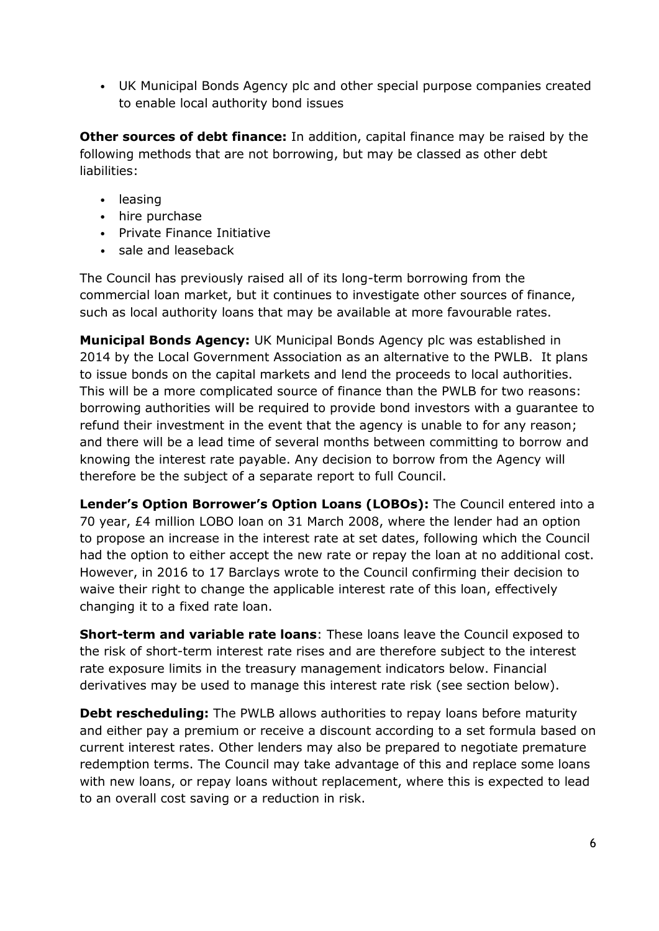• UK Municipal Bonds Agency plc and other special purpose companies created to enable local authority bond issues

**Other sources of debt finance:** In addition, capital finance may be raised by the following methods that are not borrowing, but may be classed as other debt liabilities:

- leasing
- hire purchase
- Private Finance Initiative
- sale and leaseback

The Council has previously raised all of its long-term borrowing from the commercial loan market, but it continues to investigate other sources of finance, such as local authority loans that may be available at more favourable rates.

**Municipal Bonds Agency:** UK Municipal Bonds Agency plc was established in 2014 by the Local Government Association as an alternative to the PWLB. It plans to issue bonds on the capital markets and lend the proceeds to local authorities. This will be a more complicated source of finance than the PWLB for two reasons: borrowing authorities will be required to provide bond investors with a guarantee to refund their investment in the event that the agency is unable to for any reason; and there will be a lead time of several months between committing to borrow and knowing the interest rate payable. Any decision to borrow from the Agency will therefore be the subject of a separate report to full Council.

**Lender's Option Borrower's Option Loans (LOBOs):** The Council entered into a 70 year, £4 million LOBO loan on 31 March 2008, where the lender had an option to propose an increase in the interest rate at set dates, following which the Council had the option to either accept the new rate or repay the loan at no additional cost. However, in 2016 to 17 Barclays wrote to the Council confirming their decision to waive their right to change the applicable interest rate of this loan, effectively changing it to a fixed rate loan.

**Short-term and variable rate loans**: These loans leave the Council exposed to the risk of short-term interest rate rises and are therefore subject to the interest rate exposure limits in the treasury management indicators below. Financial derivatives may be used to manage this interest rate risk (see section below).

**Debt rescheduling:** The PWLB allows authorities to repay loans before maturity and either pay a premium or receive a discount according to a set formula based on current interest rates. Other lenders may also be prepared to negotiate premature redemption terms. The Council may take advantage of this and replace some loans with new loans, or repay loans without replacement, where this is expected to lead to an overall cost saving or a reduction in risk.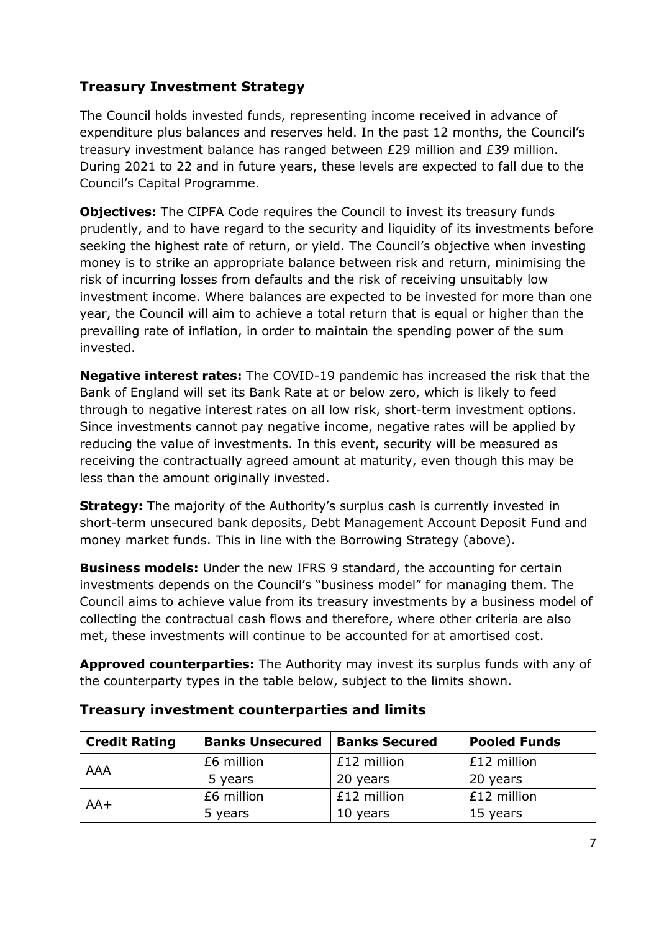## **Treasury Investment Strategy**

The Council holds invested funds, representing income received in advance of expenditure plus balances and reserves held. In the past 12 months, the Council's treasury investment balance has ranged between £29 million and £39 million. During 2021 to 22 and in future years, these levels are expected to fall due to the Council's Capital Programme.

**Objectives:** The CIPFA Code requires the Council to invest its treasury funds prudently, and to have regard to the security and liquidity of its investments before seeking the highest rate of return, or yield. The Council's objective when investing money is to strike an appropriate balance between risk and return, minimising the risk of incurring losses from defaults and the risk of receiving unsuitably low investment income. Where balances are expected to be invested for more than one year, the Council will aim to achieve a total return that is equal or higher than the prevailing rate of inflation, in order to maintain the spending power of the sum invested.

**Negative interest rates:** The COVID-19 pandemic has increased the risk that the Bank of England will set its Bank Rate at or below zero, which is likely to feed through to negative interest rates on all low risk, short-term investment options. Since investments cannot pay negative income, negative rates will be applied by reducing the value of investments. In this event, security will be measured as receiving the contractually agreed amount at maturity, even though this may be less than the amount originally invested.

**Strategy:** The majority of the Authority's surplus cash is currently invested in short-term unsecured bank deposits, Debt Management Account Deposit Fund and money market funds. This in line with the Borrowing Strategy (above).

**Business models:** Under the new IFRS 9 standard, the accounting for certain investments depends on the Council's "business model" for managing them. The Council aims to achieve value from its treasury investments by a business model of collecting the contractual cash flows and therefore, where other criteria are also met, these investments will continue to be accounted for at amortised cost.

**Approved counterparties:** The Authority may invest its surplus funds with any of the counterparty types in the table below, subject to the limits shown.

| <b>Credit Rating</b> | <b>Banks Unsecured</b> | <b>Banks Secured</b> | <b>Pooled Funds</b> |
|----------------------|------------------------|----------------------|---------------------|
|                      | £6 million             | £12 million          | £12 million         |
| AAA                  | 5 years                | 20 years             | 20 years            |
| $AA+$                | £6 million             | £12 million          | £12 million         |
|                      | 5 years                | 10 years             | 15 years            |

#### **Treasury investment counterparties and limits**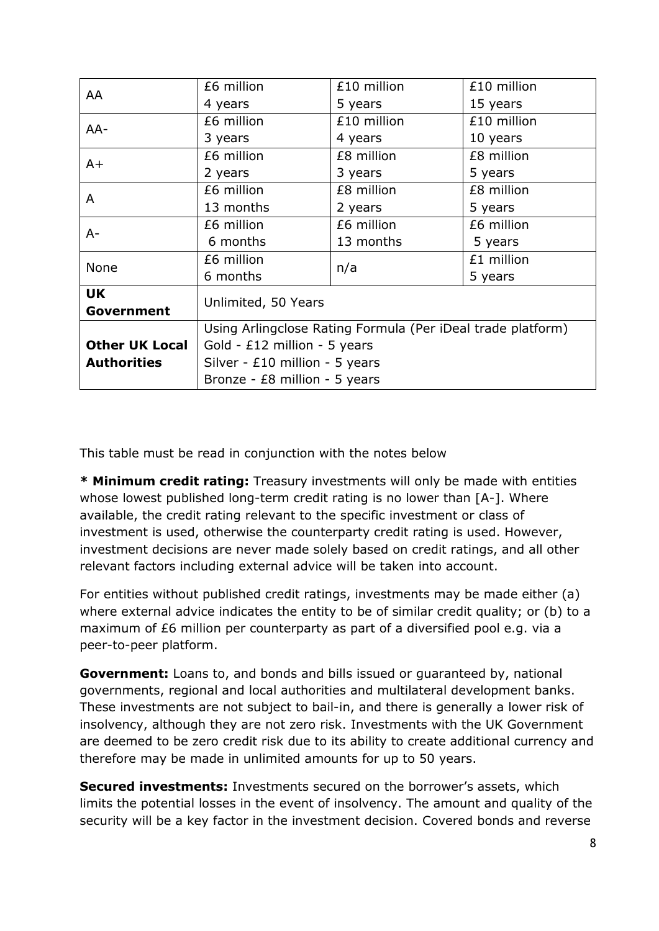| AA                    | £6 million                                                  | £10 million | £10 million |  |  |  |  |
|-----------------------|-------------------------------------------------------------|-------------|-------------|--|--|--|--|
|                       | 4 years                                                     | 5 years     | 15 years    |  |  |  |  |
| AA-                   | £6 million                                                  | £10 million | £10 million |  |  |  |  |
|                       | 3 years                                                     | 4 years     | 10 years    |  |  |  |  |
| $A+$                  | £6 million                                                  | £8 million  | £8 million  |  |  |  |  |
|                       | 2 years                                                     | 3 years     | 5 years     |  |  |  |  |
| A                     | £6 million                                                  | £8 million  | £8 million  |  |  |  |  |
|                       | 13 months                                                   | 2 years     | 5 years     |  |  |  |  |
| A-                    | £6 million                                                  | £6 million  | £6 million  |  |  |  |  |
|                       | 6 months                                                    | 13 months   | 5 years     |  |  |  |  |
| None                  | £6 million                                                  | n/a         | £1 million  |  |  |  |  |
|                       | 6 months                                                    |             | 5 years     |  |  |  |  |
| <b>UK</b>             | Unlimited, 50 Years                                         |             |             |  |  |  |  |
| Government            |                                                             |             |             |  |  |  |  |
|                       | Using Arlingclose Rating Formula (Per iDeal trade platform) |             |             |  |  |  |  |
| <b>Other UK Local</b> | Gold - $£12$ million - 5 years                              |             |             |  |  |  |  |
| <b>Authorities</b>    | Silver - $£10$ million - 5 years                            |             |             |  |  |  |  |
|                       | Bronze - $E8$ million - 5 years                             |             |             |  |  |  |  |

This table must be read in conjunction with the notes below

**\* Minimum credit rating:** Treasury investments will only be made with entities whose lowest published long-term credit rating is no lower than [A-]. Where available, the credit rating relevant to the specific investment or class of investment is used, otherwise the counterparty credit rating is used. However, investment decisions are never made solely based on credit ratings, and all other relevant factors including external advice will be taken into account.

For entities without published credit ratings, investments may be made either (a) where external advice indicates the entity to be of similar credit quality; or (b) to a maximum of £6 million per counterparty as part of a diversified pool e.g. via a peer-to-peer platform.

**Government:** Loans to, and bonds and bills issued or guaranteed by, national governments, regional and local authorities and multilateral development banks. These investments are not subject to bail-in, and there is generally a lower risk of insolvency, although they are not zero risk. Investments with the UK Government are deemed to be zero credit risk due to its ability to create additional currency and therefore may be made in unlimited amounts for up to 50 years.

**Secured investments:** Investments secured on the borrower's assets, which limits the potential losses in the event of insolvency. The amount and quality of the security will be a key factor in the investment decision. Covered bonds and reverse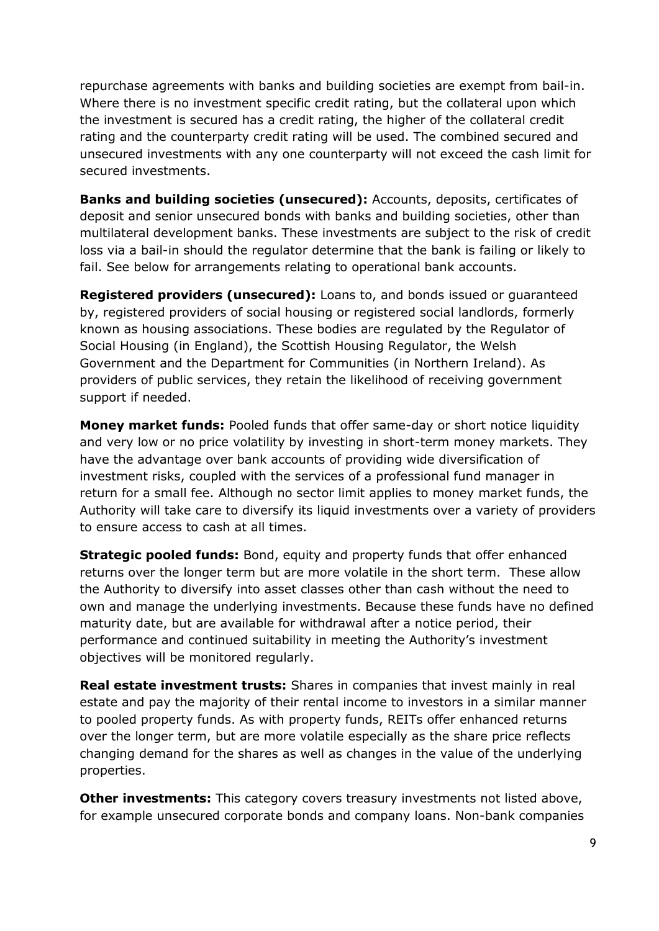repurchase agreements with banks and building societies are exempt from bail-in. Where there is no investment specific credit rating, but the collateral upon which the investment is secured has a credit rating, the higher of the collateral credit rating and the counterparty credit rating will be used. The combined secured and unsecured investments with any one counterparty will not exceed the cash limit for secured investments.

**Banks and building societies (unsecured):** Accounts, deposits, certificates of deposit and senior unsecured bonds with banks and building societies, other than multilateral development banks. These investments are subject to the risk of credit loss via a bail-in should the regulator determine that the bank is failing or likely to fail. See below for arrangements relating to operational bank accounts.

**Registered providers (unsecured):** Loans to, and bonds issued or guaranteed by, registered providers of social housing or registered social landlords, formerly known as housing associations. These bodies are regulated by the Regulator of Social Housing (in England), the Scottish Housing Regulator, the Welsh Government and the Department for Communities (in Northern Ireland). As providers of public services, they retain the likelihood of receiving government support if needed.

**Money market funds:** Pooled funds that offer same-day or short notice liquidity and very low or no price volatility by investing in short-term money markets. They have the advantage over bank accounts of providing wide diversification of investment risks, coupled with the services of a professional fund manager in return for a small fee. Although no sector limit applies to money market funds, the Authority will take care to diversify its liquid investments over a variety of providers to ensure access to cash at all times.

**Strategic pooled funds:** Bond, equity and property funds that offer enhanced returns over the longer term but are more volatile in the short term. These allow the Authority to diversify into asset classes other than cash without the need to own and manage the underlying investments. Because these funds have no defined maturity date, but are available for withdrawal after a notice period, their performance and continued suitability in meeting the Authority's investment objectives will be monitored regularly.

**Real estate investment trusts:** Shares in companies that invest mainly in real estate and pay the majority of their rental income to investors in a similar manner to pooled property funds. As with property funds, REITs offer enhanced returns over the longer term, but are more volatile especially as the share price reflects changing demand for the shares as well as changes in the value of the underlying properties.

**Other investments:** This category covers treasury investments not listed above, for example unsecured corporate bonds and company loans. Non-bank companies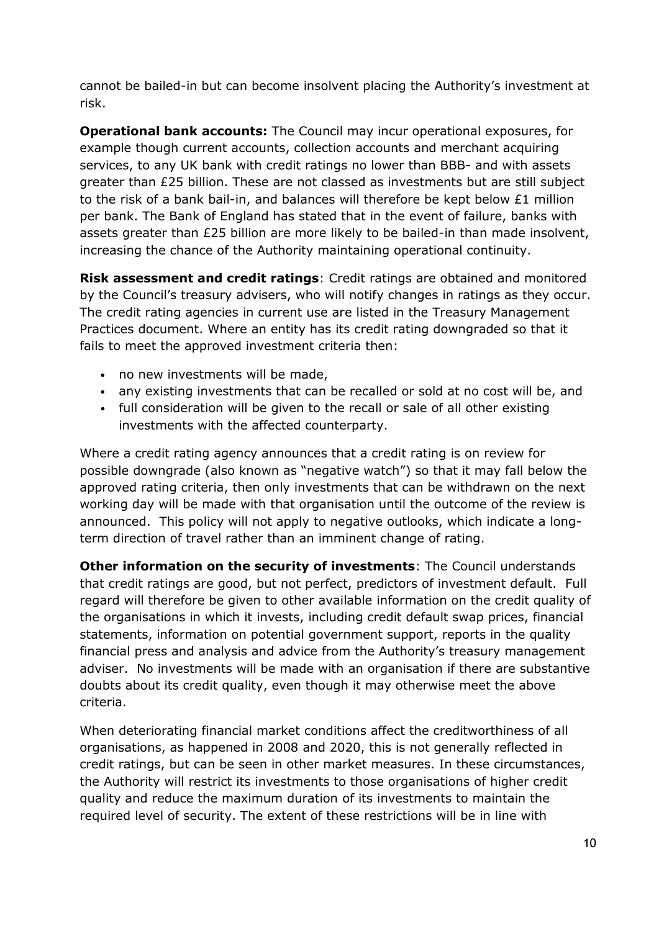cannot be bailed-in but can become insolvent placing the Authority's investment at risk.

**Operational bank accounts:** The Council may incur operational exposures, for example though current accounts, collection accounts and merchant acquiring services, to any UK bank with credit ratings no lower than BBB- and with assets greater than £25 billion. These are not classed as investments but are still subject to the risk of a bank bail-in, and balances will therefore be kept below £1 million per bank. The Bank of England has stated that in the event of failure, banks with assets greater than £25 billion are more likely to be bailed-in than made insolvent, increasing the chance of the Authority maintaining operational continuity.

**Risk assessment and credit ratings**: Credit ratings are obtained and monitored by the Council's treasury advisers, who will notify changes in ratings as they occur. The credit rating agencies in current use are listed in the Treasury Management Practices document. Where an entity has its credit rating downgraded so that it fails to meet the approved investment criteria then:

- no new investments will be made,
- any existing investments that can be recalled or sold at no cost will be, and
- full consideration will be given to the recall or sale of all other existing investments with the affected counterparty.

Where a credit rating agency announces that a credit rating is on review for possible downgrade (also known as "negative watch") so that it may fall below the approved rating criteria, then only investments that can be withdrawn on the next working day will be made with that organisation until the outcome of the review is announced. This policy will not apply to negative outlooks, which indicate a longterm direction of travel rather than an imminent change of rating.

**Other information on the security of investments**: The Council understands that credit ratings are good, but not perfect, predictors of investment default. Full regard will therefore be given to other available information on the credit quality of the organisations in which it invests, including credit default swap prices, financial statements, information on potential government support, reports in the quality financial press and analysis and advice from the Authority's treasury management adviser. No investments will be made with an organisation if there are substantive doubts about its credit quality, even though it may otherwise meet the above criteria.

When deteriorating financial market conditions affect the creditworthiness of all organisations, as happened in 2008 and 2020, this is not generally reflected in credit ratings, but can be seen in other market measures. In these circumstances, the Authority will restrict its investments to those organisations of higher credit quality and reduce the maximum duration of its investments to maintain the required level of security. The extent of these restrictions will be in line with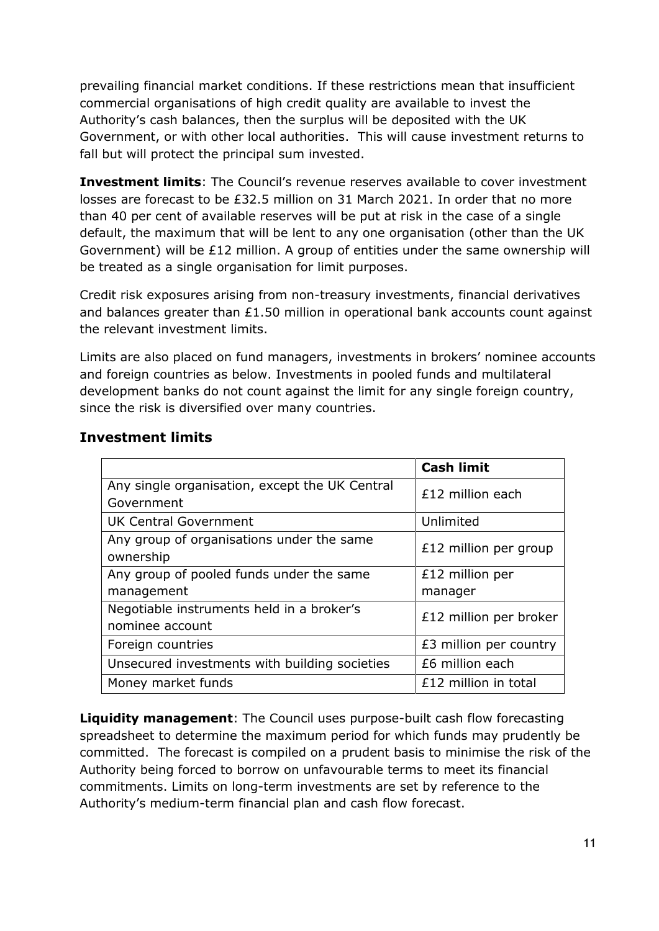prevailing financial market conditions. If these restrictions mean that insufficient commercial organisations of high credit quality are available to invest the Authority's cash balances, then the surplus will be deposited with the UK Government, or with other local authorities. This will cause investment returns to fall but will protect the principal sum invested.

**Investment limits**: The Council's revenue reserves available to cover investment losses are forecast to be £32.5 million on 31 March 2021. In order that no more than 40 per cent of available reserves will be put at risk in the case of a single default, the maximum that will be lent to any one organisation (other than the UK Government) will be £12 million. A group of entities under the same ownership will be treated as a single organisation for limit purposes.

Credit risk exposures arising from non-treasury investments, financial derivatives and balances greater than £1.50 million in operational bank accounts count against the relevant investment limits.

Limits are also placed on fund managers, investments in brokers' nominee accounts and foreign countries as below. Investments in pooled funds and multilateral development banks do not count against the limit for any single foreign country, since the risk is diversified over many countries.

|                                                | <b>Cash limit</b>      |
|------------------------------------------------|------------------------|
| Any single organisation, except the UK Central | £12 million each       |
| Government                                     |                        |
| <b>UK Central Government</b>                   | Unlimited              |
| Any group of organisations under the same      | £12 million per group  |
| ownership                                      |                        |
| Any group of pooled funds under the same       | £12 million per        |
| management                                     | manager                |
| Negotiable instruments held in a broker's      | £12 million per broker |
| nominee account                                |                        |
| Foreign countries                              | £3 million per country |
| Unsecured investments with building societies  | £6 million each        |
| Money market funds                             | £12 million in total   |

### **Investment limits**

**Liquidity management**: The Council uses purpose-built cash flow forecasting spreadsheet to determine the maximum period for which funds may prudently be committed. The forecast is compiled on a prudent basis to minimise the risk of the Authority being forced to borrow on unfavourable terms to meet its financial commitments. Limits on long-term investments are set by reference to the Authority's medium-term financial plan and cash flow forecast.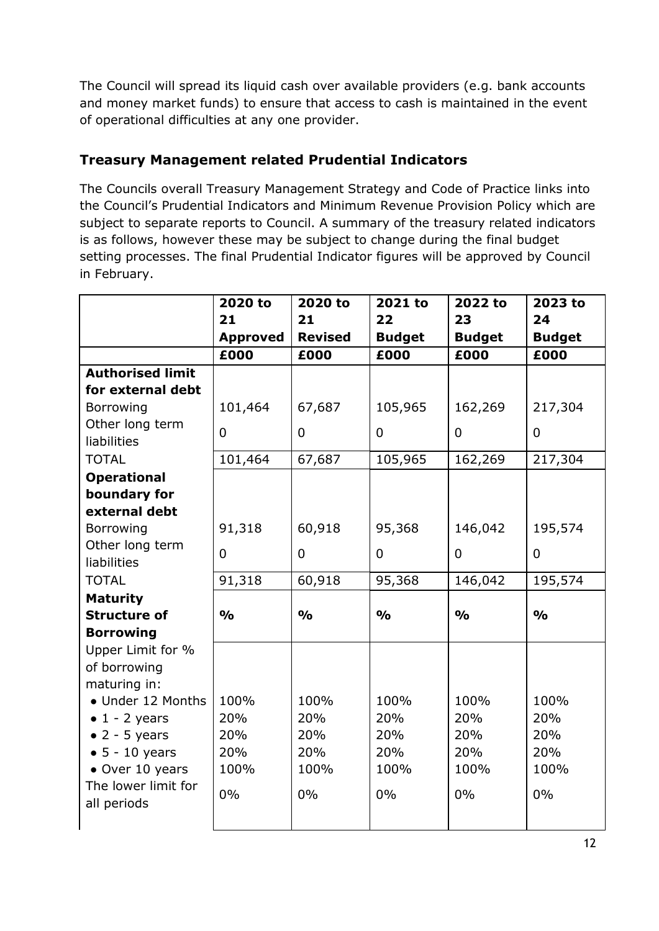The Council will spread its liquid cash over available providers (e.g. bank accounts and money market funds) to ensure that access to cash is maintained in the event of operational difficulties at any one provider.

### **Treasury Management related Prudential Indicators**

The Councils overall Treasury Management Strategy and Code of Practice links into the Council's Prudential Indicators and Minimum Revenue Provision Policy which are subject to separate reports to Council. A summary of the treasury related indicators is as follows, however these may be subject to change during the final budget setting processes. The final Prudential Indicator figures will be approved by Council in February.

|                         | 2020 to         | 2020 to        | 2021 to        | 2022 to        | 2023 to        |
|-------------------------|-----------------|----------------|----------------|----------------|----------------|
|                         | 21              | 21             | 22             | 23             | 24             |
|                         | <b>Approved</b> | <b>Revised</b> | <b>Budget</b>  | <b>Budget</b>  | <b>Budget</b>  |
|                         | £000            | £000           | £000           | £000           | £000           |
| <b>Authorised limit</b> |                 |                |                |                |                |
| for external debt       |                 |                |                |                |                |
| Borrowing               | 101,464         | 67,687         | 105,965        | 162,269        | 217,304        |
| Other long term         | $\mathbf 0$     | $\overline{0}$ | $\overline{0}$ | $\mathbf{0}$   | $\overline{0}$ |
| liabilities             |                 |                |                |                |                |
| <b>TOTAL</b>            | 101,464         | 67,687         | 105,965        | 162,269        | 217,304        |
| <b>Operational</b>      |                 |                |                |                |                |
| boundary for            |                 |                |                |                |                |
| external debt           |                 |                |                |                |                |
| Borrowing               | 91,318          | 60,918         | 95,368         | 146,042        | 195,574        |
| Other long term         | $\overline{0}$  | $\overline{0}$ | $\overline{0}$ | $\overline{0}$ | $\overline{0}$ |
| liabilities             |                 |                |                |                |                |
| <b>TOTAL</b>            | 91,318          | 60,918         | 95,368         | 146,042        | 195,574        |
| <b>Maturity</b>         |                 |                |                |                |                |
| <b>Structure of</b>     | $\frac{0}{0}$   | $\frac{1}{2}$  | $\frac{0}{0}$  | $\frac{0}{0}$  | $\frac{1}{2}$  |
| <b>Borrowing</b>        |                 |                |                |                |                |
| Upper Limit for %       |                 |                |                |                |                |
| of borrowing            |                 |                |                |                |                |
| maturing in:            |                 |                |                |                |                |
| • Under 12 Months       | 100%            | 100%           | 100%           | 100%           | 100%           |
| $\bullet$ 1 - 2 years   | 20%             | 20%            | 20%            | 20%            | 20%            |
| $\bullet$ 2 - 5 years   | 20%             | 20%            | 20%            | 20%            | 20%            |
| $\bullet$ 5 - 10 years  | 20%             | 20%            | 20%            | 20%            | 20%            |
| • Over 10 years         | 100%            | 100%           | 100%           | 100%           | 100%           |
| The lower limit for     | 0%              | $0\%$          | 0%             | $0\%$          | 0%             |
| all periods             |                 |                |                |                |                |
|                         |                 |                |                |                |                |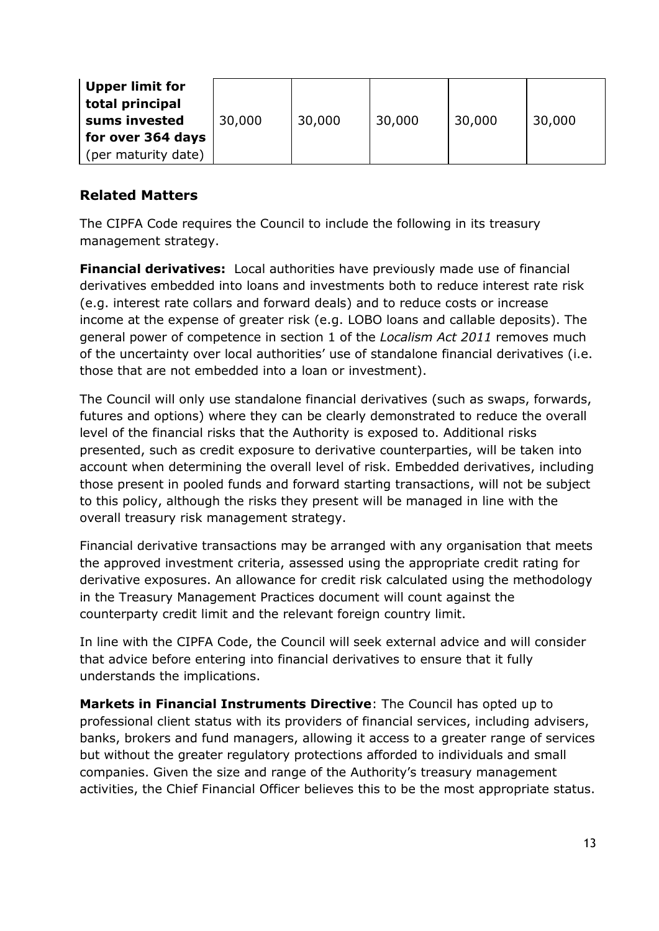| Upper limit for<br>total principal |        |        |        |        |        |
|------------------------------------|--------|--------|--------|--------|--------|
| sums invested                      | 30,000 | 30,000 | 30,000 | 30,000 | 30,000 |
| for over 364 days                  |        |        |        |        |        |
| (per maturity date)                |        |        |        |        |        |

#### **Related Matters**

The CIPFA Code requires the Council to include the following in its treasury management strategy.

**Financial derivatives:** Local authorities have previously made use of financial derivatives embedded into loans and investments both to reduce interest rate risk (e.g. interest rate collars and forward deals) and to reduce costs or increase income at the expense of greater risk (e.g. LOBO loans and callable deposits). The general power of competence in section 1 of the *Localism Act 2011* removes much of the uncertainty over local authorities' use of standalone financial derivatives (i.e. those that are not embedded into a loan or investment).

The Council will only use standalone financial derivatives (such as swaps, forwards, futures and options) where they can be clearly demonstrated to reduce the overall level of the financial risks that the Authority is exposed to. Additional risks presented, such as credit exposure to derivative counterparties, will be taken into account when determining the overall level of risk. Embedded derivatives, including those present in pooled funds and forward starting transactions, will not be subject to this policy, although the risks they present will be managed in line with the overall treasury risk management strategy.

Financial derivative transactions may be arranged with any organisation that meets the approved investment criteria, assessed using the appropriate credit rating for derivative exposures. An allowance for credit risk calculated using the methodology in the Treasury Management Practices document will count against the counterparty credit limit and the relevant foreign country limit.

In line with the CIPFA Code, the Council will seek external advice and will consider that advice before entering into financial derivatives to ensure that it fully understands the implications.

**Markets in Financial Instruments Directive**: The Council has opted up to professional client status with its providers of financial services, including advisers, banks, brokers and fund managers, allowing it access to a greater range of services but without the greater regulatory protections afforded to individuals and small companies. Given the size and range of the Authority's treasury management activities, the Chief Financial Officer believes this to be the most appropriate status.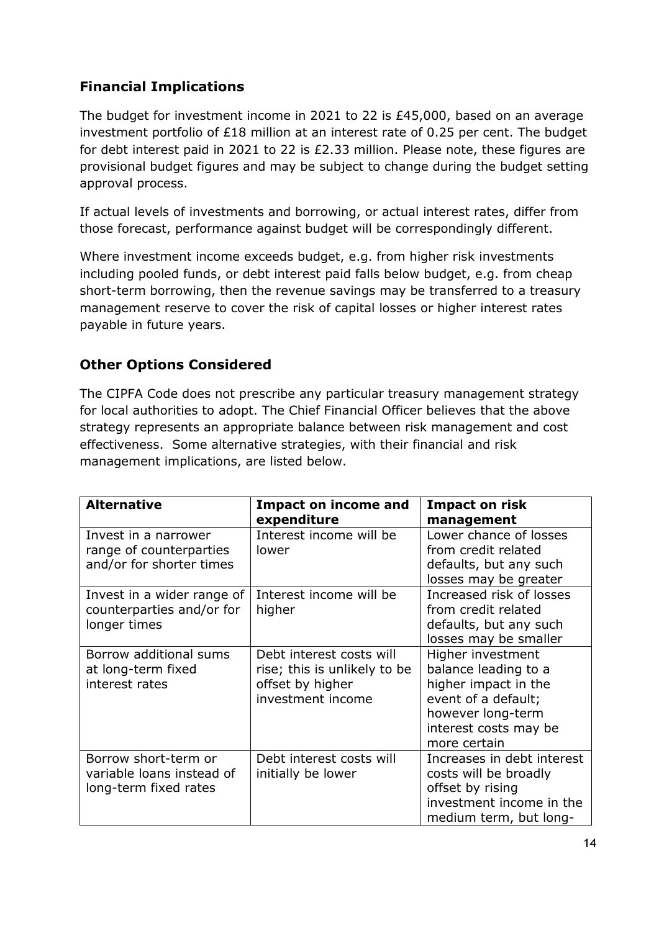## **Financial Implications**

The budget for investment income in 2021 to 22 is £45,000, based on an average investment portfolio of £18 million at an interest rate of 0.25 per cent. The budget for debt interest paid in 2021 to 22 is £2.33 million. Please note, these figures are provisional budget figures and may be subject to change during the budget setting approval process.

If actual levels of investments and borrowing, or actual interest rates, differ from those forecast, performance against budget will be correspondingly different.

Where investment income exceeds budget, e.g. from higher risk investments including pooled funds, or debt interest paid falls below budget, e.g. from cheap short-term borrowing, then the revenue savings may be transferred to a treasury management reserve to cover the risk of capital losses or higher interest rates payable in future years.

#### **Other Options Considered**

The CIPFA Code does not prescribe any particular treasury management strategy for local authorities to adopt. The Chief Financial Officer believes that the above strategy represents an appropriate balance between risk management and cost effectiveness. Some alternative strategies, with their financial and risk management implications, are listed below.

| <b>Alternative</b>         | <b>Impact on income and</b>  | <b>Impact on risk</b>      |
|----------------------------|------------------------------|----------------------------|
|                            | expenditure                  | management                 |
| Invest in a narrower       | Interest income will be      | Lower chance of losses     |
| range of counterparties    | lower                        | from credit related        |
| and/or for shorter times   |                              | defaults, but any such     |
|                            |                              | losses may be greater      |
| Invest in a wider range of | Interest income will be      | Increased risk of losses   |
| counterparties and/or for  | higher                       | from credit related        |
| longer times               |                              | defaults, but any such     |
|                            |                              | losses may be smaller      |
| Borrow additional sums     | Debt interest costs will     | Higher investment          |
| at long-term fixed         | rise; this is unlikely to be | balance leading to a       |
| interest rates             | offset by higher             | higher impact in the       |
|                            | investment income            | event of a default;        |
|                            |                              | however long-term          |
|                            |                              | interest costs may be      |
|                            |                              | more certain               |
| Borrow short-term or       | Debt interest costs will     | Increases in debt interest |
| variable loans instead of  | initially be lower           | costs will be broadly      |
| long-term fixed rates      |                              | offset by rising           |
|                            |                              | investment income in the   |
|                            |                              | medium term, but long-     |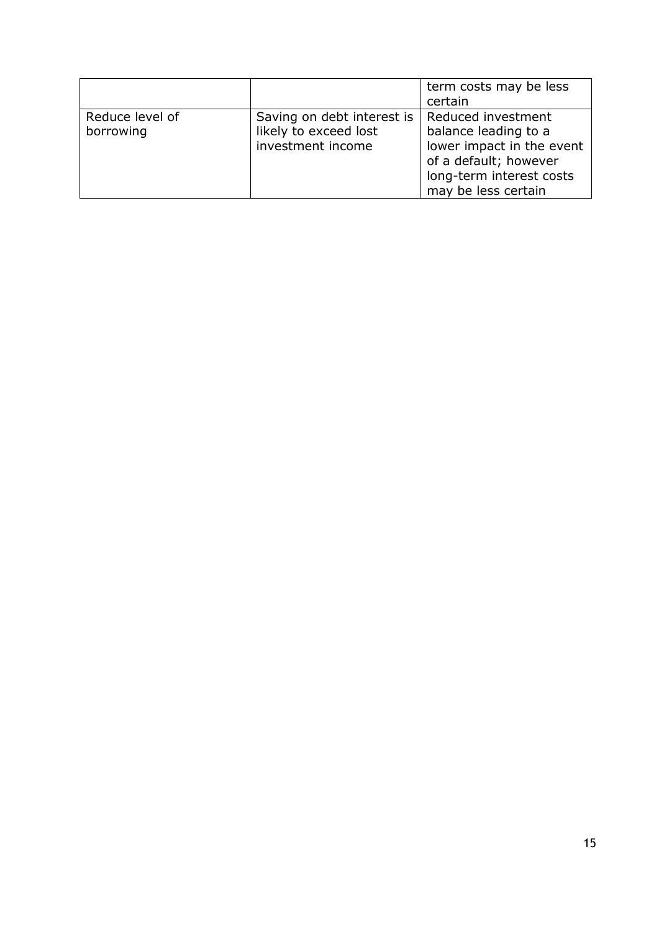|                              |                                                                          | term costs may be less<br>certain                                                                                                                   |
|------------------------------|--------------------------------------------------------------------------|-----------------------------------------------------------------------------------------------------------------------------------------------------|
| Reduce level of<br>borrowing | Saving on debt interest is<br>likely to exceed lost<br>investment income | Reduced investment<br>balance leading to a<br>lower impact in the event<br>of a default; however<br>long-term interest costs<br>may be less certain |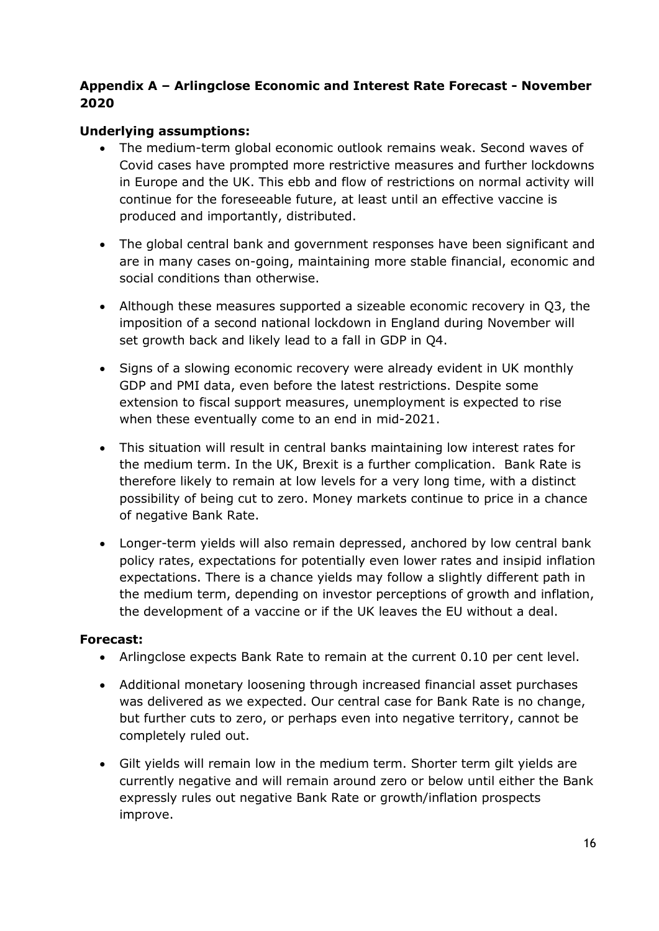#### **Appendix A – Arlingclose Economic and Interest Rate Forecast - November 2020**

#### **Underlying assumptions:**

- The medium-term global economic outlook remains weak. Second waves of Covid cases have prompted more restrictive measures and further lockdowns in Europe and the UK. This ebb and flow of restrictions on normal activity will continue for the foreseeable future, at least until an effective vaccine is produced and importantly, distributed.
- The global central bank and government responses have been significant and are in many cases on-going, maintaining more stable financial, economic and social conditions than otherwise.
- Although these measures supported a sizeable economic recovery in Q3, the imposition of a second national lockdown in England during November will set growth back and likely lead to a fall in GDP in Q4.
- Signs of a slowing economic recovery were already evident in UK monthly GDP and PMI data, even before the latest restrictions. Despite some extension to fiscal support measures, unemployment is expected to rise when these eventually come to an end in mid-2021.
- This situation will result in central banks maintaining low interest rates for the medium term. In the UK, Brexit is a further complication. Bank Rate is therefore likely to remain at low levels for a very long time, with a distinct possibility of being cut to zero. Money markets continue to price in a chance of negative Bank Rate.
- Longer-term yields will also remain depressed, anchored by low central bank policy rates, expectations for potentially even lower rates and insipid inflation expectations. There is a chance yields may follow a slightly different path in the medium term, depending on investor perceptions of growth and inflation, the development of a vaccine or if the UK leaves the EU without a deal.

#### **Forecast:**

- Arlingclose expects Bank Rate to remain at the current 0.10 per cent level.
- Additional monetary loosening through increased financial asset purchases was delivered as we expected. Our central case for Bank Rate is no change, but further cuts to zero, or perhaps even into negative territory, cannot be completely ruled out.
- Gilt yields will remain low in the medium term. Shorter term gilt yields are currently negative and will remain around zero or below until either the Bank expressly rules out negative Bank Rate or growth/inflation prospects improve.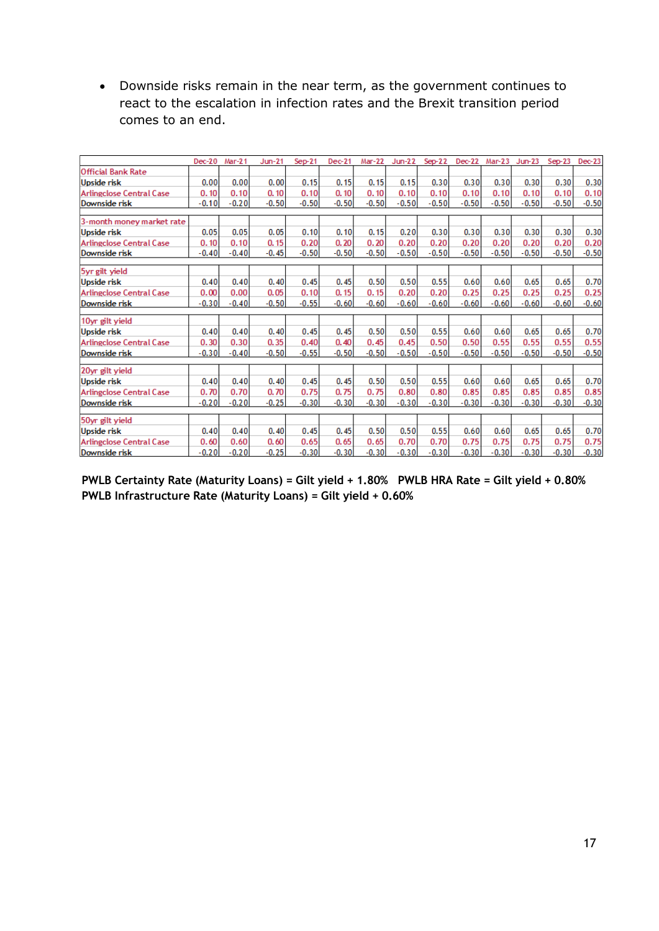Downside risks remain in the near term, as the government continues to react to the escalation in infection rates and the Brexit transition period comes to an end.

|                                                  | $Dec-20$ | Mar-21  | $Jun-21$ | $Sep-21$ | $Dec-21$ | Mar-22  | Jun-22  | $Sep-22$ | <b>Dec-22</b> | Mar-23  | $Jun-23$ | $Sep-23$ | $Dec-23$        |
|--------------------------------------------------|----------|---------|----------|----------|----------|---------|---------|----------|---------------|---------|----------|----------|-----------------|
| <b>Official Bank Rate</b>                        |          |         |          |          |          |         |         |          |               |         |          |          |                 |
| <b>Upside risk</b>                               | 0.00     | 0.00    | 0.00     | 0.15     | 0.15     | 0.15    | 0.15    | 0.30     | 0.30          | 0.30    | 0.30     | 0.30     | 0.30            |
| <b>Arlingclose Central Case</b>                  | 0.10     | 0.10    | 0.10     | 0.10     | 0.10     | 0.10    | 0.10    | 0.10     | 0.10          | 0.10    | 0.10     | 0.10     | 0.10            |
| Downside risk                                    | $-0.10$  | $-0.20$ | $-0.50$  | $-0.50$  | $-0.50$  | $-0.50$ | $-0.50$ | $-0.50$  | $-0.50$       | $-0.50$ | $-0.50$  | $-0.50$  | $-0.50$         |
| 3-month money market rate                        |          |         |          |          |          |         |         |          |               |         |          |          |                 |
| <b>Upside risk</b>                               | 0.05     | 0.05    | 0.05     | 0.10     | 0.10     | 0.15    | 0.20    | 0.30     | 0.30          | 0.30    | 0.30     | 0.30     | 0.30            |
|                                                  | 0.10     | 0.10    | 0.15     | 0.20     | 0.20     | 0.20    | 0.20    | 0.20     | 0.20          | 0.20    | 0.20     | 0.20     |                 |
| <b>Arlingclose Central Case</b><br>Downside risk | $-0.40$  | $-0.40$ | $-0.45$  | $-0.50$  | $-0.50$  | $-0.50$ | $-0.50$ | $-0.50$  | $-0.50$       | $-0.50$ | $-0.50$  | $-0.50$  | 0.20<br>$-0.50$ |
|                                                  |          |         |          |          |          |         |         |          |               |         |          |          |                 |
| 5yr gilt yield                                   |          |         |          |          |          |         |         |          |               |         |          |          |                 |
| <b>Upside risk</b>                               | 0.40     | 0.40    | 0.40     | 0.45     | 0.45     | 0.50    | 0.50    | 0.55     | 0.60          | 0.60    | 0.65     | 0.65     | 0.70            |
| <b>Arlingclose Central Case</b>                  | 0.00     | 0.00    | 0.05     | 0.10     | 0.15     | 0.15    | 0.20    | 0.20     | 0.25          | 0.25    | 0.25     | 0.25     | 0.25            |
| Downside risk                                    | $-0.30$  | $-0.40$ | $-0.50$  | $-0.55$  | $-0.60$  | $-0.60$ | $-0.60$ | $-0.60$  | $-0.60$       | $-0.60$ | $-0.60$  | $-0.60$  | $-0.60$         |
|                                                  |          |         |          |          |          |         |         |          |               |         |          |          |                 |
| 10yr gilt yield                                  | 0.40     | 0.40    | 0.40     | 0.45     | 0.45     | 0.50    | 0.50    | 0.55     | 0.60          | 0.60    | 0.65     | 0.65     | 0.70            |
| <b>Upside risk</b>                               |          |         |          |          | 0.40     | 0.45    |         |          | 0.50          |         |          |          |                 |
| <b>Arlingclose Central Case</b>                  | 0.30     | 0.30    | 0.35     | 0.40     |          |         | 0.45    | 0.50     |               | 0.55    | 0.55     | 0.55     | 0.55            |
| Downside risk                                    | $-0.30$  | $-0.40$ | $-0.50$  | $-0.55$  | $-0.50$  | $-0.50$ | $-0.50$ | $-0.50$  | $-0.50$       | $-0.50$ | $-0.50$  | $-0.50$  | $-0.50$         |
| 20yr gilt yield                                  |          |         |          |          |          |         |         |          |               |         |          |          |                 |
| <b>Upside risk</b>                               | 0.40     | 0.40    | 0.40     | 0.45     | 0.45     | 0.50    | 0.50    | 0.55     | 0.60          | 0.60    | 0.65     | 0.65     | 0.70            |
| <b>Arlingclose Central Case</b>                  | 0.70     | 0.70    | 0.70     | 0.75     | 0.75     | 0.75    | 0.80    | 0.80     | 0.85          | 0.85    | 0.85     | 0.85     | 0.85            |
| Downside risk                                    | $-0.20$  | $-0.20$ | $-0.25$  | $-0.30$  | $-0.30$  | $-0.30$ | $-0.30$ | $-0.30$  | $-0.30$       | $-0.30$ | $-0.30$  | $-0.30$  | $-0.30$         |
| 50yr gilt yield                                  |          |         |          |          |          |         |         |          |               |         |          |          |                 |
| <b>Upside risk</b>                               | 0.40     | 0.40    | 0.40     | 0.45     | 0.45     | 0.50    | 0.50    | 0.55     | 0.60          | 0.60    | 0.65     | 0.65     | 0.70            |
| <b>Arlingclose Central Case</b>                  | 0.60     | 0.60    | 0.60     | 0.65     | 0.65     | 0.65    | 0.70    | 0.70     | 0.75          | 0.75    | 0.75     | 0.75     | 0.75            |
| Downside risk                                    | $-0.20$  | $-0.20$ | $-0.25$  | $-0.30$  | $-0.30$  | $-0.30$ | $-0.30$ | $-0.30$  | $-0.30$       | $-0.30$ | $-0.30$  | $-0.30$  | $-0.30$         |

**PWLB Certainty Rate (Maturity Loans) = Gilt yield + 1.80% PWLB HRA Rate = Gilt yield + 0.80% PWLB Infrastructure Rate (Maturity Loans) = Gilt yield + 0.60%**